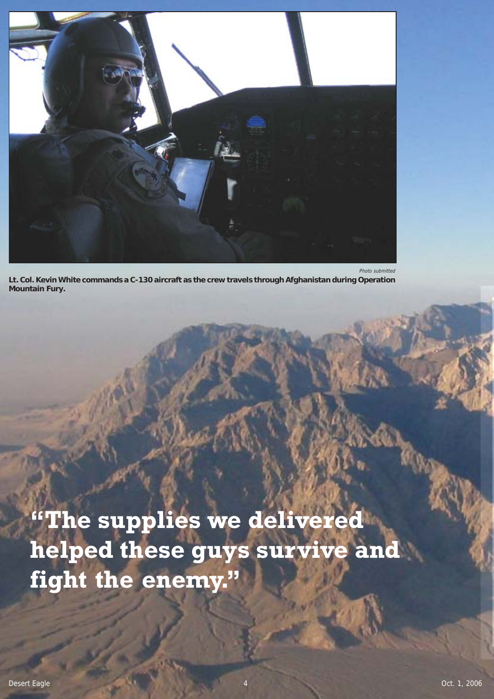

**Lt. Col. Kevin White commands a C-130 aircraft as the crew travels through Afghanistan during Operation Mountain Fury.**

**"The supplies we delivered helped these guys survive and fight the enemy."**